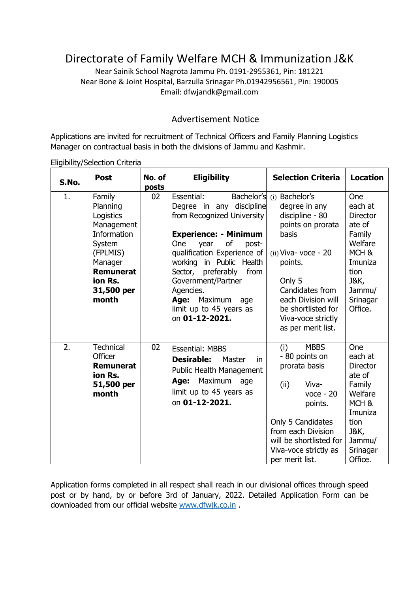# Directorate of Family Welfare MCH & Immunization J&K

Near Sainik School Nagrota Jammu Ph. 0191-2955361, Pin: 181221 Near Bone & Joint Hospital, Barzulla Srinagar Ph.01942956561, Pin: 190005 Email: dfwjandk@gmail.com

### Advertisement Notice

Applications are invited for recruitment of Technical Officers and Family Planning Logistics Manager on contractual basis in both the divisions of Jammu and Kashmir.

Eligibility/Selection Criteria

| S.No. | <b>Post</b>                                                                                                                                         | No. of<br>posts | <b>Eligibility</b>                                                                                                                                                                                                                                                                                                                           | <b>Selection Criteria</b>                                                                                                                                                                                                                             | <b>Location</b>                                                                                                                                      |
|-------|-----------------------------------------------------------------------------------------------------------------------------------------------------|-----------------|----------------------------------------------------------------------------------------------------------------------------------------------------------------------------------------------------------------------------------------------------------------------------------------------------------------------------------------------|-------------------------------------------------------------------------------------------------------------------------------------------------------------------------------------------------------------------------------------------------------|------------------------------------------------------------------------------------------------------------------------------------------------------|
| 1.    | Family<br>Planning<br>Logistics<br>Management<br>Information<br>System<br>(FPLMIS)<br>Manager<br><b>Remunerat</b><br>ion Rs.<br>31,500 per<br>month | 02              | Essential:<br>Degree in any discipline<br>from Recognized University<br><b>Experience: - Minimum</b><br>of<br><b>One</b><br>post-<br>year<br>qualification Experience of<br>working in Public Health<br>from<br>Sector, preferably<br>Government/Partner<br>Agencies.<br>Maximum<br>Age:<br>age<br>limit up to 45 years as<br>on 01-12-2021. | Bachelor's (i) Bachelor's<br>degree in any<br>discipline - 80<br>points on prorata<br>basis<br>$(ii)$ Viva- voce - 20<br>points.<br>Only 5<br>Candidates from<br>each Division will<br>be shortlisted for<br>Viva-voce strictly<br>as per merit list. | One<br>each at<br><b>Director</b><br>ate of<br>Family<br>Welfare<br>MCH <sub>&amp;</sub><br>Imuniza<br>tion<br>J&K,<br>Jammu/<br>Srinagar<br>Office. |
| 2.    | <b>Technical</b><br>Officer<br><b>Remunerat</b><br>ion Rs.<br>51,500 per<br>month                                                                   | 02              | <b>Essential: MBBS</b><br><b>Desirable:</b><br>Master<br>in.<br><b>Public Health Management</b><br>Maximum<br>Age:<br>age<br>limit up to 45 years as<br>on 01-12-2021.                                                                                                                                                                       | <b>MBBS</b><br>(i)<br>- 80 points on<br>prorata basis<br>Viva-<br>(ii)<br>$v$ oce - 20<br>points.<br>Only 5 Candidates<br>from each Division<br>will be shortlisted for<br>Viva-voce strictly as<br>per merit list.                                   | One<br>each at<br><b>Director</b><br>ate of<br>Family<br>Welfare<br>MCH <sub>&amp;</sub><br>Imuniza<br>tion<br>J&K,<br>Jammu/<br>Srinagar<br>Office. |

Application forms completed in all respect shall reach in our divisional offices through speed post or by hand, by or before 3rd of January, 2022. Detailed Application Form can be downloaded from our official website [www.dfwjk.co.in](http://www.dfwjk.co.in/) .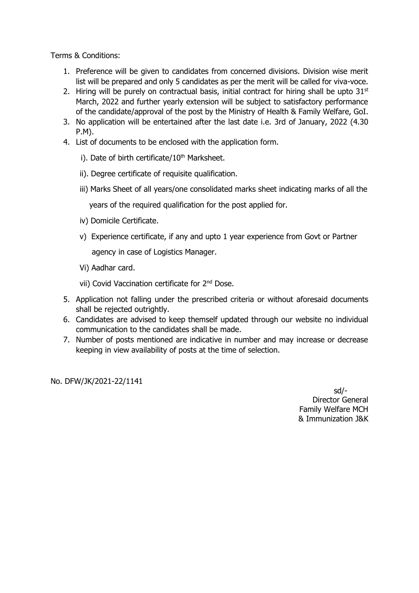Terms & Conditions:

- 1. Preference will be given to candidates from concerned divisions. Division wise merit list will be prepared and only 5 candidates as per the merit will be called for viva-voce.
- 2. Hiring will be purely on contractual basis, initial contract for hiring shall be upto  $31<sup>st</sup>$ March, 2022 and further yearly extension will be subject to satisfactory performance of the candidate/approval of the post by the Ministry of Health & Family Welfare, GoI.
- 3. No application will be entertained after the last date i.e. 3rd of January, 2022 (4.30 P.M).
- 4. List of documents to be enclosed with the application form.
	- i). Date of birth certificate/10<sup>th</sup> Marksheet.
	- ii). Degree certificate of requisite qualification.
	- iii) Marks Sheet of all years/one consolidated marks sheet indicating marks of all the

years of the required qualification for the post applied for.

- iv) Domicile Certificate.
- v) Experience certificate, if any and upto 1 year experience from Govt or Partner agency in case of Logistics Manager.
- Vi) Aadhar card.

vii) Covid Vaccination certificate for 2<sup>nd</sup> Dose.

- 5. Application not falling under the prescribed criteria or without aforesaid documents shall be rejected outrightly.
- 6. Candidates are advised to keep themself updated through our website no individual communication to the candidates shall be made.
- 7. Number of posts mentioned are indicative in number and may increase or decrease keeping in view availability of posts at the time of selection.

No. DFW/JK/2021-22/1141

 sd/- Director General Family Welfare MCH & Immunization J&K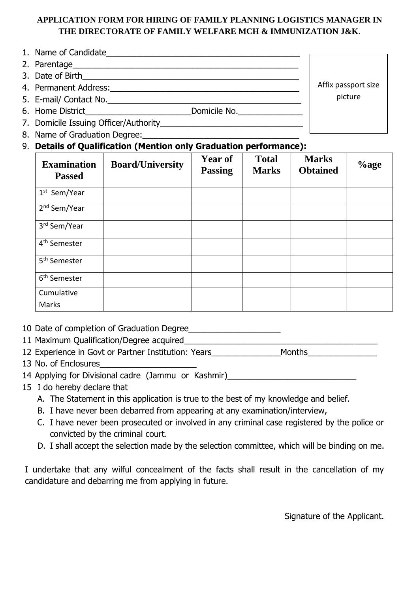### **APPLICATION FORM FOR HIRING OF FAMILY PLANNING LOGISTICS MANAGER IN THE DIRECTORATE OF FAMILY WELFARE MCH & IMMUNIZATION J&K**.

- 1. Name of Candidate
- 2. Parentage\_\_\_\_\_\_\_\_\_\_\_\_\_\_\_\_\_\_\_\_\_\_\_\_\_\_\_\_\_\_\_\_\_\_\_\_\_\_\_\_\_\_\_\_\_\_\_\_\_
- 3. Date of Birth\_\_\_\_\_\_\_\_\_\_\_\_\_\_\_\_\_\_\_\_\_\_\_\_\_\_\_\_\_\_\_\_\_\_\_\_\_\_\_\_\_\_\_\_\_\_\_
- 4. Permanent Address:\_\_\_\_\_\_\_\_\_\_\_\_\_\_\_\_\_\_\_\_\_\_\_\_\_\_\_\_\_\_\_\_\_\_\_\_\_\_\_\_\_
- 5. E-mail/ Contact No.\_\_\_\_\_\_\_\_\_\_\_\_\_\_\_\_\_\_\_\_\_\_\_\_\_\_\_\_\_\_\_\_\_\_\_\_\_\_\_\_\_\_
- 6. Home District\_\_\_\_\_\_\_\_\_\_\_\_\_\_\_\_\_\_\_\_\_\_\_\_\_\_\_\_\_\_\_\_Domicile No.\_\_\_\_\_\_\_\_\_\_\_\_\_\_\_\_\_\_\_\_
- 7. Domicile Issuing Officer/Authority\_\_\_\_\_\_\_\_\_\_\_\_\_\_\_\_\_\_\_\_\_\_\_\_\_\_\_\_\_\_\_
- 8. Name of Graduation Degree:\_\_\_\_\_\_\_\_\_\_\_\_\_\_\_\_\_\_\_\_\_\_\_\_\_\_\_\_\_\_\_\_\_\_
- 9. **Details of Qualification (Mention only Graduation performance):**

| <b>Examination</b><br><b>Passed</b> | <b>Board/University</b> | <b>Year of</b><br><b>Passing</b> | <b>Total</b><br><b>Marks</b> | <b>Marks</b><br><b>Obtained</b> | $\%$ age |
|-------------------------------------|-------------------------|----------------------------------|------------------------------|---------------------------------|----------|
| 1 <sup>st</sup> Sem/Year            |                         |                                  |                              |                                 |          |
| 2 <sup>nd</sup> Sem/Year            |                         |                                  |                              |                                 |          |
| 3rd Sem/Year                        |                         |                                  |                              |                                 |          |
| 4 <sup>th</sup> Semester            |                         |                                  |                              |                                 |          |
| 5 <sup>th</sup> Semester            |                         |                                  |                              |                                 |          |
| 6 <sup>th</sup> Semester            |                         |                                  |                              |                                 |          |
| Cumulative<br>Marks                 |                         |                                  |                              |                                 |          |

- 10 Date of completion of Graduation Degree
- 11 Maximum Qualification/Degree acquired\_\_\_\_\_\_\_\_\_\_\_\_\_\_\_\_\_\_\_\_\_\_\_\_\_\_\_\_\_\_\_\_\_\_\_\_\_\_\_\_\_\_

12 Experience in Govt or Partner Institution: Years The Months

- 13 No. of Enclosures\_\_\_\_\_\_\_\_\_\_\_\_\_\_\_\_\_\_\_\_\_
- 14 Applying for Divisional cadre (Jammu or Kashmir)\_\_\_\_\_\_\_\_\_\_\_\_\_\_\_\_\_\_\_\_\_\_\_\_\_\_\_\_\_
- 15 I do hereby declare that
	- A. The Statement in this application is true to the best of my knowledge and belief.
	- B. I have never been debarred from appearing at any examination/interview,
	- C. I have never been prosecuted or involved in any criminal case registered by the police or convicted by the criminal court.
	- D. I shall accept the selection made by the selection committee, which will be binding on me.

I undertake that any wilful concealment of the facts shall result in the cancellation of my candidature and debarring me from applying in future.

Signature of the Applicant.

Affix passport size picture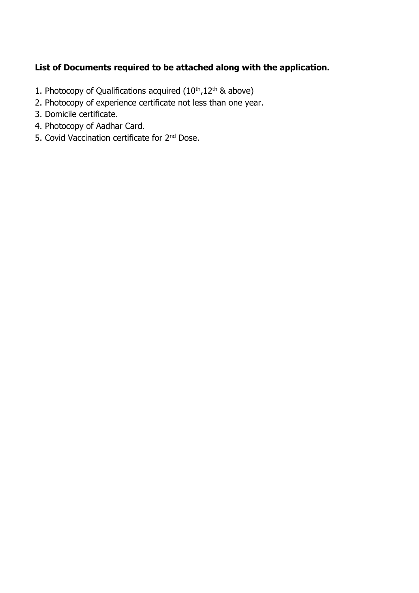## **List of Documents required to be attached along with the application.**

- 1. Photocopy of Qualifications acquired  $(10<sup>th</sup>,12<sup>th</sup>$  & above)
- 2. Photocopy of experience certificate not less than one year.
- 3. Domicile certificate.
- 4. Photocopy of Aadhar Card.
- 5. Covid Vaccination certificate for 2<sup>nd</sup> Dose.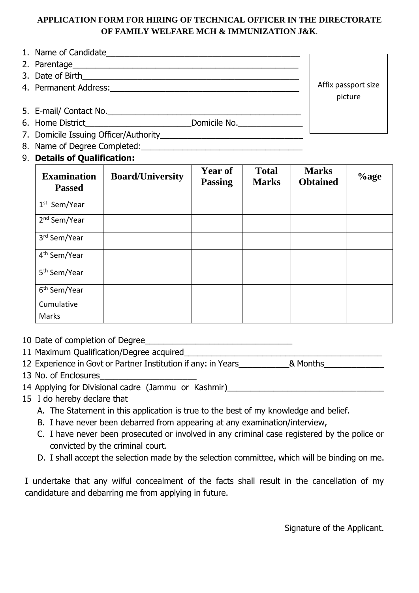### **APPLICATION FORM FOR HIRING OF TECHNICAL OFFICER IN THE DIRECTORATE OF FAMILY WELFARE MCH & IMMUNIZATION J&K**.

- 1. Name of Candidate
- 2. Parentage\_\_\_\_\_\_\_\_\_\_\_\_\_\_\_\_\_\_\_\_\_\_\_\_\_\_\_\_\_\_\_\_\_\_\_\_\_\_\_\_\_\_\_\_\_\_\_\_\_
- 3. Date of Birth\_\_\_\_\_\_\_\_\_\_\_\_\_\_\_\_\_\_\_\_\_\_\_\_\_\_\_\_\_\_\_\_\_\_\_\_\_\_\_\_\_\_\_\_\_\_\_
- 4. Permanent Address:\_\_\_\_\_\_\_\_\_\_\_\_\_\_\_\_\_\_\_\_\_\_\_\_\_\_\_\_\_\_\_\_\_\_\_\_\_\_\_\_\_
- 5. E-mail/ Contact No.
- 6. Home District\_\_\_\_\_\_\_\_\_\_\_\_\_\_\_\_\_\_\_\_\_\_\_Domicile No.\_\_\_\_\_\_\_\_\_\_\_\_\_\_
- 7. Domicile Issuing Officer/Authority
- 8. Name of Degree Completed: University of Lagrange Completed:
- 9. **Details of Qualification:**

| <b>Examination</b><br><b>Passed</b> | <b>Board/University</b> | <b>Year of</b><br><b>Passing</b> | <b>Total</b><br><b>Marks</b> | <b>Marks</b><br><b>Obtained</b> | $\%$ age |
|-------------------------------------|-------------------------|----------------------------------|------------------------------|---------------------------------|----------|
| 1 <sup>st</sup> Sem/Year            |                         |                                  |                              |                                 |          |
| 2 <sup>nd</sup> Sem/Year            |                         |                                  |                              |                                 |          |
| 3rd Sem/Year                        |                         |                                  |                              |                                 |          |
| 4 <sup>th</sup> Sem/Year            |                         |                                  |                              |                                 |          |
| 5 <sup>th</sup> Sem/Year            |                         |                                  |                              |                                 |          |
| 6 <sup>th</sup> Sem/Year            |                         |                                  |                              |                                 |          |
| Cumulative                          |                         |                                  |                              |                                 |          |
| Marks                               |                         |                                  |                              |                                 |          |

- 10 Date of completion of Degree
- 11 Maximum Qualification/Degree acquired\_\_\_\_\_\_\_\_\_\_\_\_\_\_\_\_\_\_\_\_\_\_\_\_\_\_\_\_\_\_\_\_\_\_\_\_\_\_\_\_\_\_\_

12 Experience in Govt or Partner Institution if any: in Years\_\_\_\_\_\_\_\_\_\_& Months\_\_\_\_\_\_\_\_\_\_\_\_\_\_\_\_\_\_\_\_\_\_\_\_\_\_\_\_\_\_\_

- 13 No. of Enclosures
- 14 Applying for Divisional cadre (Jammu or Kashmir)\_\_\_\_\_\_\_\_\_\_\_\_\_\_\_\_\_\_\_\_\_\_\_\_\_\_\_\_\_
- 15 I do hereby declare that
	- A. The Statement in this application is true to the best of my knowledge and belief.
	- B. I have never been debarred from appearing at any examination/interview,
	- C. I have never been prosecuted or involved in any criminal case registered by the police or convicted by the criminal court.
	- D. I shall accept the selection made by the selection committee, which will be binding on me.

I undertake that any wilful concealment of the facts shall result in the cancellation of my candidature and debarring me from applying in future.

Signature of the Applicant.

Affix passport size picture